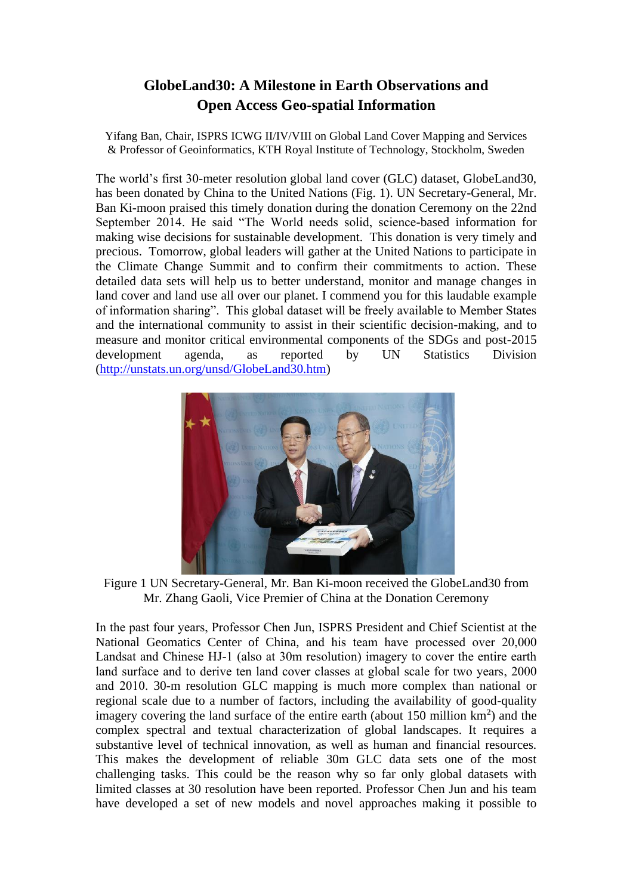## **GlobeLand30: A Milestone in Earth Observations and Open Access Geo-spatial Information**

Yifang Ban, Chair, ISPRS ICWG II/IV/VIII on Global Land Cover Mapping and Services & Professor of Geoinformatics, KTH Royal Institute of Technology, Stockholm, Sweden

The world's first 30-meter resolution global land cover (GLC) dataset, GlobeLand30, has been donated by China to the United Nations (Fig. 1). UN Secretary-General, Mr. Ban Ki-moon praised this timely donation during the donation Ceremony on the 22nd September 2014. He said "The World needs solid, science-based information for making wise decisions for sustainable development. This donation is very timely and precious. Tomorrow, global leaders will gather at the United Nations to participate in the Climate Change Summit and to confirm their commitments to action. These detailed data sets will help us to better understand, monitor and manage changes in land cover and land use all over our planet. I commend you for this laudable example of information sharing". This global dataset will be freely available to Member States and the international community to assist in their scientific decision-making, and to measure and monitor critical environmental components of the SDGs and post-2015 development agenda, as reported by UN Statistics Division [\(http://unstats.un.org/unsd/GlobeLand30.htm\)](http://unstats.un.org/unsd/GlobeLand30.htm)



Figure 1 UN Secretary-General, Mr. Ban Ki-moon received the GlobeLand30 from Mr. Zhang Gaoli, Vice Premier of China at the Donation Ceremony

In the past four years, Professor Chen Jun, ISPRS President and Chief Scientist at the National Geomatics Center of China, and his team have processed over 20,000 Landsat and Chinese HJ-1 (also at 30m resolution) imagery to cover the entire earth land surface and to derive ten land cover classes at global scale for two years, 2000 and 2010. 30-m resolution GLC mapping is much more complex than national or regional scale due to a number of factors, including the availability of good-quality imagery covering the land surface of the entire earth (about 150 million km**<sup>2</sup>** ) and the complex spectral and textual characterization of global landscapes. It requires a substantive level of technical innovation, as well as human and financial resources. This makes the development of reliable 30m GLC data sets one of the most challenging tasks. This could be the reason why so far only global datasets with limited classes at 30 resolution have been reported. Professor Chen Jun and his team have developed a set of new models and novel approaches making it possible to